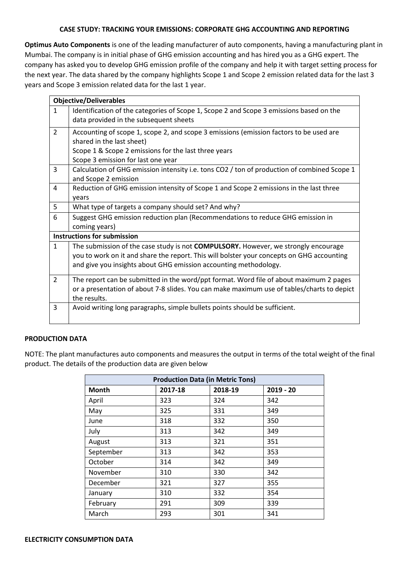# **CASE STUDY: TRACKING YOUR EMISSIONS: CORPORATE GHG ACCOUNTING AND REPORTING**

**Optimus Auto Components** is one of the leading manufacturer of auto components, having a manufacturing plant in Mumbai. The company is in initial phase of GHG emission accounting and has hired you as a GHG expert. The company has asked you to develop GHG emission profile of the company and help it with target setting process for the next year. The data shared by the company highlights Scope 1 and Scope 2 emission related data for the last 3 years and Scope 3 emission related data for the last 1 year.

|                | <b>Objective/Deliverables</b>                                                                                                                                                                                                                              |
|----------------|------------------------------------------------------------------------------------------------------------------------------------------------------------------------------------------------------------------------------------------------------------|
| $\mathbf{1}$   | Identification of the categories of Scope 1, Scope 2 and Scope 3 emissions based on the<br>data provided in the subsequent sheets                                                                                                                          |
| $\overline{2}$ | Accounting of scope 1, scope 2, and scope 3 emissions (emission factors to be used are<br>shared in the last sheet)<br>Scope 1 & Scope 2 emissions for the last three years<br>Scope 3 emission for last one year                                          |
| $\overline{3}$ | Calculation of GHG emission intensity i.e. tons CO2 / ton of production of combined Scope 1<br>and Scope 2 emission                                                                                                                                        |
| $\overline{4}$ | Reduction of GHG emission intensity of Scope 1 and Scope 2 emissions in the last three<br>years                                                                                                                                                            |
| 5              | What type of targets a company should set? And why?                                                                                                                                                                                                        |
| 6              | Suggest GHG emission reduction plan (Recommendations to reduce GHG emission in<br>coming years)                                                                                                                                                            |
|                | <b>Instructions for submission</b>                                                                                                                                                                                                                         |
| $\mathbf{1}$   | The submission of the case study is not <b>COMPULSORY.</b> However, we strongly encourage<br>you to work on it and share the report. This will bolster your concepts on GHG accounting<br>and give you insights about GHG emission accounting methodology. |
| $\overline{2}$ | The report can be submitted in the word/ppt format. Word file of about maximum 2 pages<br>or a presentation of about 7-8 slides. You can make maximum use of tables/charts to depict<br>the results.                                                       |
| 3              | Avoid writing long paragraphs, simple bullets points should be sufficient.                                                                                                                                                                                 |

# **PRODUCTION DATA**

NOTE: The plant manufactures auto components and measures the output in terms of the total weight of the final product. The details of the production data are given below

| <b>Production Data (in Metric Tons)</b> |         |         |             |  |  |
|-----------------------------------------|---------|---------|-------------|--|--|
| <b>Month</b>                            | 2017-18 | 2018-19 | $2019 - 20$ |  |  |
| April                                   | 323     | 324     | 342         |  |  |
| May                                     | 325     | 331     | 349         |  |  |
| June                                    | 318     | 332     | 350         |  |  |
| July                                    | 313     | 342     | 349         |  |  |
| August                                  | 313     | 321     | 351         |  |  |
| September                               | 313     | 342     | 353         |  |  |
| October                                 | 314     | 342     | 349         |  |  |
| November                                | 310     | 330     | 342         |  |  |
| December                                | 321     | 327     | 355         |  |  |
| January                                 | 310     | 332     | 354         |  |  |
| February                                | 291     | 309     | 339         |  |  |
| March                                   | 293     | 301     | 341         |  |  |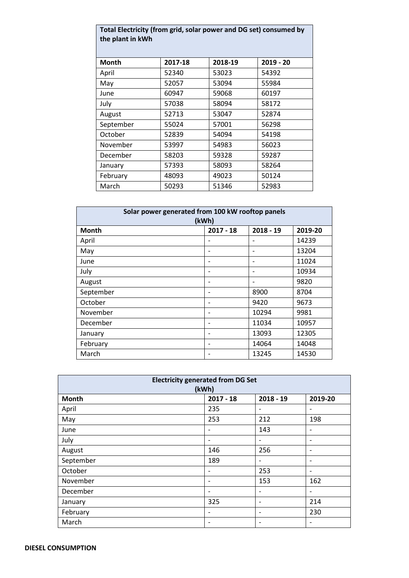| Total Electricity (from grid, solar power and DG set) consumed by<br>the plant in kWh |         |         |             |  |  |  |
|---------------------------------------------------------------------------------------|---------|---------|-------------|--|--|--|
| Month                                                                                 | 2017-18 | 2018-19 | $2019 - 20$ |  |  |  |
| April                                                                                 | 52340   | 53023   | 54392       |  |  |  |
| May                                                                                   | 52057   | 53094   | 55984       |  |  |  |
| June                                                                                  | 60947   | 59068   | 60197       |  |  |  |
| July                                                                                  | 57038   | 58094   | 58172       |  |  |  |
| August                                                                                | 52713   | 53047   | 52874       |  |  |  |
| September                                                                             | 55024   | 57001   | 56298       |  |  |  |
| October                                                                               | 52839   | 54094   | 54198       |  |  |  |
| November                                                                              | 53997   | 54983   | 56023       |  |  |  |
| December                                                                              | 58203   | 59328   | 59287       |  |  |  |
| January                                                                               | 57393   | 58093   | 58264       |  |  |  |
| February                                                                              | 48093   | 49023   | 50124       |  |  |  |
| March                                                                                 | 50293   | 51346   | 52983       |  |  |  |

| Solar power generated from 100 kW rooftop panels<br>(kWh) |                              |       |       |  |  |  |  |
|-----------------------------------------------------------|------------------------------|-------|-------|--|--|--|--|
| $2018 - 19$<br><b>Month</b><br>$2017 - 18$<br>2019-20     |                              |       |       |  |  |  |  |
| April                                                     |                              |       | 14239 |  |  |  |  |
| May                                                       |                              |       | 13204 |  |  |  |  |
| June                                                      |                              |       | 11024 |  |  |  |  |
| July                                                      |                              |       | 10934 |  |  |  |  |
| August                                                    |                              |       | 9820  |  |  |  |  |
| September                                                 |                              | 8900  | 8704  |  |  |  |  |
| October                                                   |                              | 9420  | 9673  |  |  |  |  |
| November                                                  | $\overline{\phantom{0}}$     | 10294 | 9981  |  |  |  |  |
| December                                                  |                              | 11034 | 10957 |  |  |  |  |
| January                                                   | $\qquad \qquad \blacksquare$ | 13093 | 12305 |  |  |  |  |
| February                                                  |                              | 14064 | 14048 |  |  |  |  |
| March                                                     |                              | 13245 | 14530 |  |  |  |  |

| <b>Electricity generated from DG Set</b><br>(kWh) |                              |                              |                          |  |  |
|---------------------------------------------------|------------------------------|------------------------------|--------------------------|--|--|
| <b>Month</b>                                      | $2017 - 18$                  | $2018 - 19$                  | 2019-20                  |  |  |
| April                                             | 235                          | $\overline{a}$               | $\overline{\phantom{a}}$ |  |  |
| May                                               | 253                          | 212                          | 198                      |  |  |
| June                                              | ۰                            | 143                          | $\overline{\phantom{a}}$ |  |  |
| July                                              | $\overline{\phantom{a}}$     | $\overline{\phantom{0}}$     | $\overline{\phantom{a}}$ |  |  |
| August                                            | 146                          | 256                          | $\overline{\phantom{a}}$ |  |  |
| September                                         | 189                          | $\qquad \qquad \blacksquare$ | $\overline{\phantom{a}}$ |  |  |
| October                                           | $\qquad \qquad \blacksquare$ | 253                          | $\overline{\phantom{a}}$ |  |  |
| November                                          | $\overline{\phantom{a}}$     | 153                          | 162                      |  |  |
| December                                          | $\overline{\phantom{0}}$     | $\overline{a}$               | $\overline{\phantom{a}}$ |  |  |
| January                                           | 325                          | $\overline{a}$               | 214                      |  |  |
| February                                          | $\overline{\phantom{a}}$     | $\overline{a}$               | 230                      |  |  |
| March                                             | $\overline{\phantom{a}}$     | $\overline{a}$               | $\overline{\phantom{a}}$ |  |  |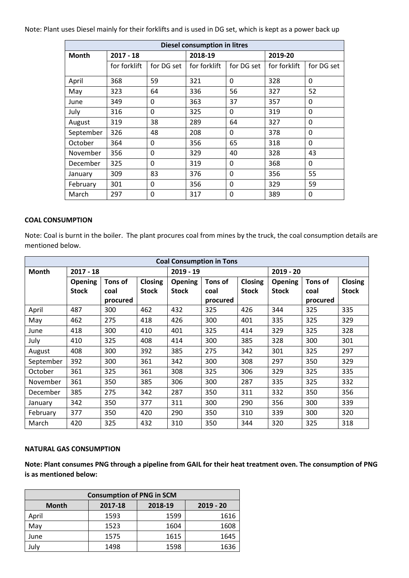Note: Plant uses Diesel mainly for their forklifts and is used in DG set, which is kept as a power back up

| <b>Diesel consumption in litres</b> |              |            |              |            |              |            |  |  |
|-------------------------------------|--------------|------------|--------------|------------|--------------|------------|--|--|
| <b>Month</b>                        | $2017 - 18$  |            | 2018-19      |            | 2019-20      |            |  |  |
|                                     | for forklift | for DG set | for forklift | for DG set | for forklift | for DG set |  |  |
| April                               | 368          | 59         | 321          | 0          | 328          | 0          |  |  |
| May                                 | 323          | 64         | 336          | 56         | 327          | 52         |  |  |
| June                                | 349          | 0          | 363          | 37         | 357          | 0          |  |  |
| July                                | 316          | 0          | 325          | 0          | 319          | 0          |  |  |
| August                              | 319          | 38         | 289          | 64         | 327          | 0          |  |  |
| September                           | 326          | 48         | 208          | 0          | 378          | 0          |  |  |
| October                             | 364          | 0          | 356          | 65         | 318          | 0          |  |  |
| November                            | 356          | 0          | 329          | 40         | 328          | 43         |  |  |
| December                            | 325          | 0          | 319          | 0          | 368          | 0          |  |  |
| January                             | 309          | 83         | 376          | 0          | 356          | 55         |  |  |
| February                            | 301          | 0          | 356          | 0          | 329          | 59         |  |  |
| March                               | 297          | 0          | 317          | 0          | 389          | 0          |  |  |

#### **COAL CONSUMPTION**

Note: Coal is burnt in the boiler. The plant procures coal from mines by the truck, the coal consumption details are mentioned below.

| <b>Coal Consumption in Tons</b> |                |          |                |                |          |              |                |          |              |
|---------------------------------|----------------|----------|----------------|----------------|----------|--------------|----------------|----------|--------------|
| $2017 - 18$<br><b>Month</b>     |                |          |                | $2019 - 19$    |          |              | $2019 - 20$    |          |              |
|                                 | <b>Opening</b> | Tons of  | <b>Closing</b> | <b>Opening</b> | Tons of  | Closing      | <b>Opening</b> | Tons of  | Closing      |
|                                 | <b>Stock</b>   | coal     | <b>Stock</b>   | <b>Stock</b>   | coal     | <b>Stock</b> | <b>Stock</b>   | coal     | <b>Stock</b> |
|                                 |                | procured |                |                | procured |              |                | procured |              |
| April                           | 487            | 300      | 462            | 432            | 325      | 426          | 344            | 325      | 335          |
| May                             | 462            | 275      | 418            | 426            | 300      | 401          | 335            | 325      | 329          |
| June                            | 418            | 300      | 410            | 401            | 325      | 414          | 329            | 325      | 328          |
| July                            | 410            | 325      | 408            | 414            | 300      | 385          | 328            | 300      | 301          |
| August                          | 408            | 300      | 392            | 385            | 275      | 342          | 301            | 325      | 297          |
| September                       | 392            | 300      | 361            | 342            | 300      | 308          | 297            | 350      | 329          |
| October                         | 361            | 325      | 361            | 308            | 325      | 306          | 329            | 325      | 335          |
| November                        | 361            | 350      | 385            | 306            | 300      | 287          | 335            | 325      | 332          |
| December                        | 385            | 275      | 342            | 287            | 350      | 311          | 332            | 350      | 356          |
| January                         | 342            | 350      | 377            | 311            | 300      | 290          | 356            | 300      | 339          |
| February                        | 377            | 350      | 420            | 290            | 350      | 310          | 339            | 300      | 320          |
| March                           | 420            | 325      | 432            | 310            | 350      | 344          | 320            | 325      | 318          |

#### **NATURAL GAS CONSUMPTION**

**Note: Plant consumes PNG through a pipeline from GAIL for their heat treatment oven. The consumption of PNG is as mentioned below:**

| <b>Consumption of PNG in SCM</b>                  |      |      |      |  |  |  |  |
|---------------------------------------------------|------|------|------|--|--|--|--|
| 2018-19<br>2017-18<br>$2019 - 20$<br><b>Month</b> |      |      |      |  |  |  |  |
| April                                             | 1593 | 1599 | 1616 |  |  |  |  |
| May                                               | 1523 | 1604 | 1608 |  |  |  |  |
| June                                              | 1575 | 1615 | 1645 |  |  |  |  |
| July                                              | 1498 | 1598 | 1636 |  |  |  |  |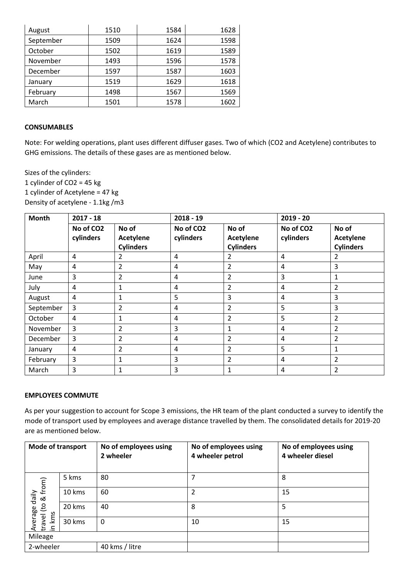| August    | 1510 | 1584 | 1628 |
|-----------|------|------|------|
| September | 1509 | 1624 | 1598 |
| October   | 1502 | 1619 | 1589 |
| November  | 1493 | 1596 | 1578 |
| December  | 1597 | 1587 | 1603 |
| January   | 1519 | 1629 | 1618 |
| February  | 1498 | 1567 | 1569 |
| March     | 1501 | 1578 | 1602 |

### **CONSUMABLES**

Note: For welding operations, plant uses different diffuser gases. Two of which (CO2 and Acetylene) contributes to GHG emissions. The details of these gases are as mentioned below.

Sizes of the cylinders: 1 cylinder of CO2 = 45 kg 1 cylinder of Acetylene = 47 kg Density of acetylene - 1.1kg /m3

| <b>Month</b> | $2017 - 18$            |                                               | $2018 - 19$                        |                                               |                                    | $2019 - 20$                                   |  |
|--------------|------------------------|-----------------------------------------------|------------------------------------|-----------------------------------------------|------------------------------------|-----------------------------------------------|--|
|              | No of CO2<br>cylinders | No of<br><b>Acetylene</b><br><b>Cylinders</b> | No of CO <sub>2</sub><br>cylinders | No of<br><b>Acetylene</b><br><b>Cylinders</b> | No of CO <sub>2</sub><br>cylinders | No of<br><b>Acetylene</b><br><b>Cylinders</b> |  |
| April        | 4                      | 2                                             | 4                                  | $\overline{2}$                                | 4                                  | 2                                             |  |
| May          | $\overline{4}$         | $\overline{2}$                                | 4                                  | $\overline{2}$                                | 4                                  | 3                                             |  |
| June         | 3                      | $\overline{2}$                                | 4                                  | $\overline{2}$                                | 3                                  | $\mathbf{1}$                                  |  |
| July         | $\overline{4}$         | 1                                             | 4                                  | $\overline{2}$                                | 4                                  | $\overline{2}$                                |  |
| August       | 4                      | 1                                             | 5                                  | 3                                             | 4                                  | 3                                             |  |
| September    | 3                      | $\overline{2}$                                | 4                                  | $\overline{2}$                                | 5                                  | 3                                             |  |
| October      | $\overline{4}$         | 1                                             | 4                                  | $\overline{2}$                                | 5                                  | $\overline{2}$                                |  |
| November     | 3                      | $\overline{2}$                                | 3                                  | $\mathbf 1$                                   | 4                                  | $\overline{2}$                                |  |
| December     | 3                      | $\overline{2}$                                | 4                                  | $\overline{2}$                                | 4                                  | $\overline{2}$                                |  |
| January      | $\overline{4}$         | $\overline{2}$                                | 4                                  | $\overline{2}$                                | 5                                  | 1                                             |  |
| February     | 3                      | 1                                             | 3                                  | $\overline{2}$                                | 4                                  | $\overline{2}$                                |  |
| March        | 3                      | 1                                             | 3                                  | 1                                             | 4                                  | $\overline{2}$                                |  |

### **EMPLOYEES COMMUTE**

As per your suggestion to account for Scope 3 emissions, the HR team of the plant conducted a survey to identify the mode of transport used by employees and average distance travelled by them. The consolidated details for 2019-20 are as mentioned below.

| <b>Mode of transport</b>  |        | No of employees using<br>2 wheeler | No of employees using<br>4 wheeler petrol | No of employees using<br>4 wheeler diesel |
|---------------------------|--------|------------------------------------|-------------------------------------------|-------------------------------------------|
|                           | 5 kms  | 80                                 | 7                                         | 8                                         |
| & from)<br>daily          | 10 kms | 60                                 | 2                                         | 15                                        |
| $\overline{5}$<br>verage  | 20 kms | 40                                 | 8                                         | 5                                         |
| kms<br>travel<br>$\equiv$ | 30 kms | $\Omega$                           | 10                                        | 15                                        |
| Mileage                   |        |                                    |                                           |                                           |
| 2-wheeler                 |        | 40 kms / litre                     |                                           |                                           |